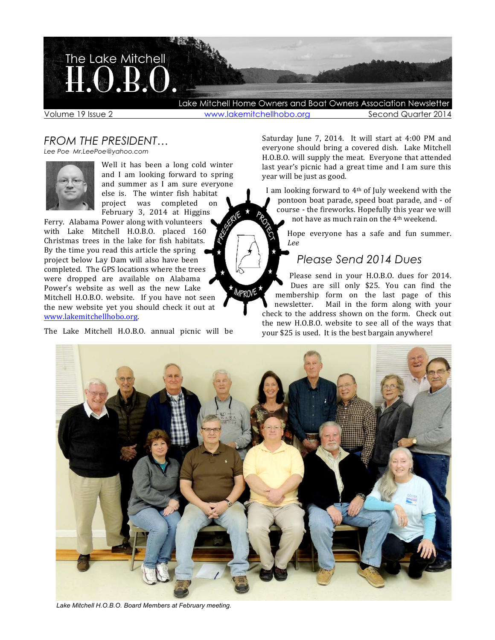

Volume 19 Issue 2 **With the View Alternation Conducts** Second Quarter 2014

# *FROM THE PRESIDENT…*

*Lee Poe Mr.LeePoe@yahoo.com*



Well it has been a long cold winter and I am looking forward to spring and summer as I am sure everyone else is. The winter fish habitat project was completed on February 3, 2014 at Higgins

Ferry. Alabama Power along with volunteers with Lake Mitchell H.O.B.O. placed 160 Christmas trees in the lake for fish habitats. By the time you read this article the spring project below Lay Dam will also have been completed. The GPS locations where the trees were dropped are available on Alabama Power's website as well as the new Lake Mitchell H.O.B.O. website. If you have not seen the new website yet you should check it out at www.lakemitchellhobo.org. 

The Lake Mitchell H.O.B.O. annual picnic will be

Saturday June 7, 2014. It will start at 4:00 PM and everyone should bring a covered dish. Lake Mitchell H.O.B.O. will supply the meat. Everyone that attended last year's picnic had a great time and I am sure this year will be just as good.

I am looking forward to  $4<sup>th</sup>$  of July weekend with the pontoon boat parade, speed boat parade, and - of course - the fireworks. Hopefully this year we will not have as much rain on the  $4<sup>th</sup>$  weekend.

> Hope everyone has a safe and fun summer. *Lee*

# *Please Send 2014 Dues*

Please send in your H.O.B.O. dues for 2014. Dues are sill only \$25. You can find the membership form on the last page of this<br>newsletter. Mail in the form along with your Mail in the form along with your check to the address shown on the form. Check out the new H.O.B.O. website to see all of the ways that your \$25 is used. It is the best bargain anywhere!



MPROVE

*Lake Mitchell H.O.B.O. Board Members at February meeting.*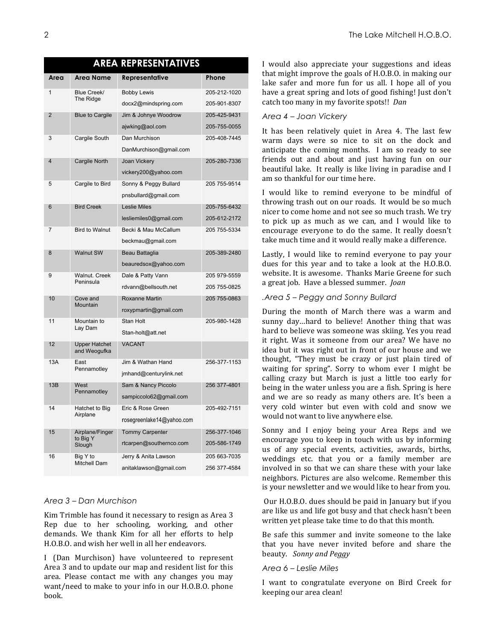| <b>AREA REPRESENTATIVES</b> |                                       |                           |              |  |  |  |  |  |  |
|-----------------------------|---------------------------------------|---------------------------|--------------|--|--|--|--|--|--|
| Area                        | Area Name                             | Representative            | Phone        |  |  |  |  |  |  |
| $\mathbf{1}$                | Blue Creek/<br>The Ridge              | <b>Bobby Lewis</b>        | 205-212-1020 |  |  |  |  |  |  |
|                             |                                       | docx2@mindspring.com      | 205-901-8307 |  |  |  |  |  |  |
| $\overline{2}$              | <b>Blue to Cargile</b>                | Jim & Johnye Woodrow      | 205-425-9431 |  |  |  |  |  |  |
|                             |                                       | ajwking@aol.com           | 205-755-0055 |  |  |  |  |  |  |
| 3                           | Cargile South                         | Dan Murchison             | 205-408-7445 |  |  |  |  |  |  |
|                             |                                       | DanMurchison@gmail.com    |              |  |  |  |  |  |  |
| $\overline{4}$              | Cargile North                         | Joan Vickery              | 205-280-7336 |  |  |  |  |  |  |
|                             |                                       | vickery200@yahoo.com      |              |  |  |  |  |  |  |
| 5                           | Cargile to Bird                       | Sonny & Peggy Bullard     | 205 755-9514 |  |  |  |  |  |  |
|                             |                                       | pnsbullard@gmail.com      |              |  |  |  |  |  |  |
| 6                           | <b>Bird Creek</b>                     | <b>Leslie Miles</b>       | 205-755-6432 |  |  |  |  |  |  |
|                             |                                       | lesliemiles0@gmail.com    | 205-612-2172 |  |  |  |  |  |  |
| 7                           | <b>Bird to Walnut</b>                 | Becki & Mau McCallum      | 205 755-5334 |  |  |  |  |  |  |
|                             |                                       | beckmau@gmail.com         |              |  |  |  |  |  |  |
| 8                           | <b>Walnut SW</b>                      | Beau Battaglia            | 205-389-2480 |  |  |  |  |  |  |
|                             |                                       | beauredsox@yahoo.com      |              |  |  |  |  |  |  |
| 9                           | Walnut, Creek<br>Peninsula            | Dale & Patty Vann         | 205 979-5559 |  |  |  |  |  |  |
|                             |                                       | rdvann@bellsouth.net      | 205 755-0825 |  |  |  |  |  |  |
| 10                          | Cove and<br>Mountain                  | <b>Roxanne Martin</b>     | 205 755-0863 |  |  |  |  |  |  |
|                             |                                       | roxypmartin@gmail.com     |              |  |  |  |  |  |  |
| 11                          | Mountain to<br>Lay Dam                | Stan Holt                 | 205-980-1428 |  |  |  |  |  |  |
|                             |                                       | Stan-holt@att.net         |              |  |  |  |  |  |  |
| 12                          | <b>Upper Hatchet</b><br>and Weogufka  | <b>VACANT</b>             |              |  |  |  |  |  |  |
| 13A                         | East<br>Pennamotley                   | Jim & Wathan Hand         | 256-377-1153 |  |  |  |  |  |  |
|                             |                                       | jmhand@centurylink.net    |              |  |  |  |  |  |  |
| 13B                         | West<br>Pennamotley                   | Sam & Nancy Piccolo       | 256 377-4801 |  |  |  |  |  |  |
|                             |                                       | sampiccolo62@gmail.com    |              |  |  |  |  |  |  |
| 14                          | Hatchet to Big<br>Airplane            | Eric & Rose Green         | 205-492-7151 |  |  |  |  |  |  |
|                             |                                       | rosegreenlake14@yahoo.com |              |  |  |  |  |  |  |
| 15                          | Airplane/Finger<br>to Big Y<br>Slough | <b>Tommy Carpenter</b>    | 256-377-1046 |  |  |  |  |  |  |
|                             |                                       | rtcarpen@southernco.com   | 205-586-1749 |  |  |  |  |  |  |
| 16                          | Big Y to<br><b>Mitchell Dam</b>       | Jerry & Anita Lawson      | 205 663-7035 |  |  |  |  |  |  |
|                             |                                       | anitaklawson@gmail.com    | 256 377-4584 |  |  |  |  |  |  |

## *Area 3 – Dan Murchison*

Kim Trimble has found it necessary to resign as Area 3 Rep due to her schooling, working, and other demands. We thank Kim for all her efforts to help H.O.B.O. and wish her well in all her endeavors.

I (Dan Murchison) have volunteered to represent Area 3 and to update our map and resident list for this area. Please contact me with any changes you may want/need to make to your info in our H.O.B.O. phone book.

I would also appreciate your suggestions and ideas that might improve the goals of H.O.B.O. in making our lake safer and more fun for us all. I hope all of you have a great spring and lots of good fishing! Just don't catch too many in my favorite spots!! *Dan* 

## *Area 4 – Joan Vickery*

It has been relatively quiet in Area 4. The last few warm days were so nice to sit on the dock and anticipate the coming months. I am so ready to see friends out and about and just having fun on our beautiful lake. It really is like living in paradise and I am so thankful for our time here.

I would like to remind everyone to be mindful of throwing trash out on our roads. It would be so much nicer to come home and not see so much trash. We try to pick up as much as we can, and I would like to encourage everyone to do the same. It really doesn't take much time and it would really make a difference.

Lastly, I would like to remind everyone to pay your dues for this year and to take a look at the H.O.B.O. website. It is awesome. Thanks Marie Greene for such a great job. Have a blessed summer. *Joan* 

## *.Area 5 – Peggy and Sonny Bullard*

During the month of March there was a warm and sunny day...hard to believe! Another thing that was hard to believe was someone was skiing. Yes you read it right. Was it someone from our area? We have no idea but it was right out in front of our house and we thought, "They must be crazy or just plain tired of waiting for spring". Sorry to whom ever I might be calling crazy but March is just a little too early for being in the water unless you are a fish. Spring is here and we are so ready as many others are. It's been a very cold winter but even with cold and snow we would not want to live anywhere else.

Sonny and I enjoy being your Area Reps and we encourage you to keep in touch with us by informing us of any special events, activities, awards, births, weddings etc. that you or a family member are involved in so that we can share these with your lake neighbors. Pictures are also welcome. Remember this is your newsletter and we would like to hear from you.

Our H.O.B.O. dues should be paid in January but if you are like us and life got busy and that check hasn't been written yet please take time to do that this month.

Be safe this summer and invite someone to the lake that you have never invited before and share the beauty. *Sonny and Peggy*

## *Area 6 – Leslie Miles*

I want to congratulate everyone on Bird Creek for keeping our area clean!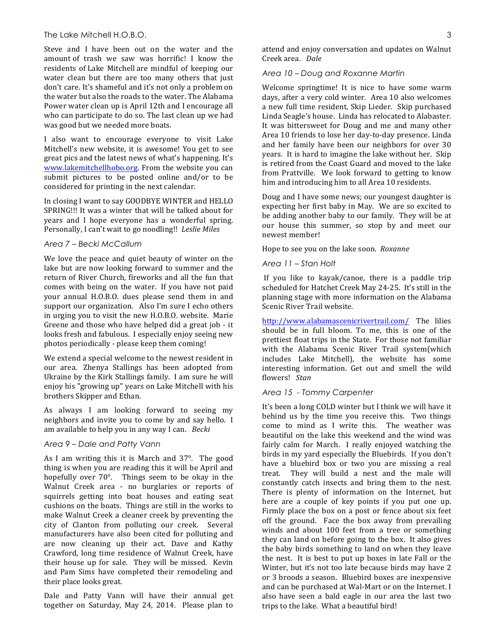### The Lake Mitchell H.O.B.O. 3

Steve and I have been out on the water and the amount of trash we saw was horrific! I know the residents of Lake Mitchell are mindful of keeping our water clean but there are too many others that just don't care. It's shameful and it's not only a problem on the water but also the roads to the water. The Alabama Power water clean up is April 12th and I encourage all who can participate to do so. The last clean up we had was good but we needed more boats.

I also want to encourage everyone to visit Lake Mitchell's new website, it is awesome! You get to see great pics and the latest news of what's happening. It's www.lakemitchellhobo.org. From the website you can submit pictures to be posted online and/or to be considered for printing in the next calendar.

In closing I want to say GOODBYE WINTER and HELLO SPRING!!! It was a winter that will be talked about for years and I hope everyone has a wonderful spring. Personally, I can't wait to go noodling!! Leslie Miles

### *Area 7 – Becki McCallum*

We love the peace and quiet beauty of winter on the lake but are now looking forward to summer and the return of River Church, fireworks and all the fun that comes with being on the water. If you have not paid your annual H.O.B.O. dues please send them in and support our organization. Also I'm sure I echo others in urging you to visit the new H.O.B.O. website. Marie Greene and those who have helped did a great job - it looks fresh and fabulous. I especially enjoy seeing new photos periodically - please keep them coming!

We extend a special welcome to the newest resident in our area. Zhenya Stallings has been adopted from Ukraine by the Kirk Stallings family. I am sure he will enjoy his "growing up" years on Lake Mitchell with his brothers Skipper and Ethan.

As always I am looking forward to seeing my neighbors and invite you to come by and say hello. I am available to help you in any way I can. *Becki* 

### *Area 9 – Dale and Patty Vann*

As I am writing this it is March and  $37^\circ$ . The good thing is when you are reading this it will be April and hopefully over  $70^\circ$ . Things seem to be okay in the Walnut Creek area - no burglaries or reports of squirrels getting into boat houses and eating seat cushions on the boats. Things are still in the works to make Walnut Creek a cleaner creek by preventing the city of Clanton from polluting our creek. Several manufacturers have also been cited for polluting and are now cleaning up their act. Dave and Kathy Crawford, long time residence of Walnut Creek, have their house up for sale. They will be missed. Kevin and Pam Sims have completed their remodeling and their place looks great.

Dale and Patty Vann will have their annual get together on Saturday, May 24, 2014. Please plan to

attend and enjoy conversation and updates on Walnut Creek area. *Dale*

### *Area 10 – Doug and Roxanne Martin*

Welcome springtime! It is nice to have some warm days, after a very cold winter. Area 10 also welcomes a new full time resident, Skip Lieder. Skip purchased Linda Seagle's house. Linda has relocated to Alabaster. It was bittersweet for Doug and me and many other Area 10 friends to lose her day-to-day presence. Linda and her family have been our neighbors for over 30 years. It is hard to imagine the lake without her. Skip is retired from the Coast Guard and moved to the lake from Prattville. We look forward to getting to know him and introducing him to all Area 10 residents.

Doug and I have some news; our youngest daughter is expecting her first baby in May. We are so excited to be adding another baby to our family. They will be at our house this summer, so stop by and meet our newest member!

Hope to see you on the lake soon. Roxanne

*Area 11 – Stan Holt*

If you like to kayak/canoe, there is a paddle trip scheduled for Hatchet Creek May 24-25. It's still in the planning stage with more information on the Alabama Scenic River Trail website.

http://www.alabamascenicrivertrail.com/ The lilies should be in full bloom. To me, this is one of the prettiest float trips in the State. For those not familiar with the Alabama Scenic River Trail system(which includes Lake Mitchell), the website has some interesting information. Get out and smell the wild flowers! Stan

#### *Area 15 - Tommy Carpenter*

It's been a long COLD winter but I think we will have it behind us by the time you receive this. Two things come to mind as I write this. The weather was beautiful on the lake this weekend and the wind was fairly calm for March. I really enjoyed watching the birds in my yard especially the Bluebirds. If you don't have a bluebird box or two you are missing a real treat. They will build a nest and the male will constantly catch insects and bring them to the nest. There is plenty of information on the Internet, but here are a couple of key points if you put one up. Firmly place the box on a post or fence about six feet off the ground. Face the box away from prevailing winds and about 100 feet from a tree or something they can land on before going to the box. It also gives the baby birds something to land on when they leave the nest. It is best to put up boxes in late Fall or the Winter, but it's not too late because birds may have 2 or 3 broods a season. Bluebird boxes are inexpensive and can be purchased at Wal-Mart or on the Internet. I also have seen a bald eagle in our area the last two trips to the lake. What a beautiful bird!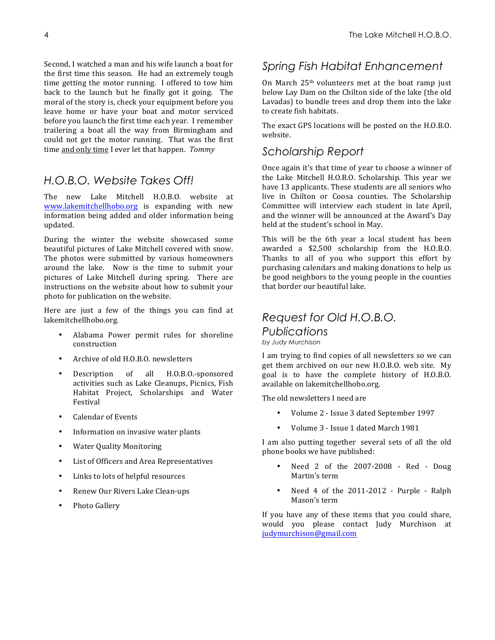Second, I watched a man and his wife launch a boat for the first time this season. He had an extremely tough time getting the motor running. I offered to tow him back to the launch but he finally got it going. The moral of the story is, check your equipment before you leave home or have your boat and motor serviced before you launch the first time each year. I remember trailering a boat all the way from Birmingham and could not get the motor running. That was the first time and only time I ever let that happen. *Tommy* 

# *H.O.B.O. Website Takes Off!*

The new Lake Mitchell H.O.B.O. website at www.lakemitchellhobo.org is expanding with new information being added and older information being updated.

During the winter the website showcased some beautiful pictures of Lake Mitchell covered with snow. The photos were submitted by various homeowners around the lake. Now is the time to submit your pictures of Lake Mitchell during spring. There are instructions on the website about how to submit your photo for publication on the website.

Here are just a few of the things you can find at lakemitchellhobo.org. 

- Alabama Power permit rules for shoreline construction
- Archive of old H.O.B.O. newsletters
- Description of all H.O.B.O.-sponsored activities such as Lake Cleanups, Picnics, Fish Habitat Project, Scholarships and Water Festival
- Calendar of Events
- Information on invasive water plants
- Water Quality Monitoring
- List of Officers and Area Representatives
- Links to lots of helpful resources
- Renew Our Rivers Lake Clean-ups
- Photo Gallery

# *Spring Fish Habitat Enhancement*

On March  $25<sup>th</sup>$  volunteers met at the boat ramp just below Lay Dam on the Chilton side of the lake (the old Lavadas) to bundle trees and drop them into the lake to create fish habitats.

The exact GPS locations will be posted on the H.O.B.O. website.

# *Scholarship Report*

Once again it's that time of year to choose a winner of the Lake Mitchell H.O.B.O. Scholarship. This year we have 13 applicants. These students are all seniors who live in Chilton or Coosa counties. The Scholarship Committee will interview each student in late April, and the winner will be announced at the Award's Day held at the student's school in May.

This will be the 6th year a local student has been awarded a \$2,500 scholarship from the H.O.B.O. Thanks to all of you who support this effort by purchasing calendars and making donations to help us be good neighbors to the young people in the counties that border our beautiful lake.

# *Request for Old H.O.B.O.*

*Publications*

*by Judy Murchison*

I am trying to find copies of all newsletters so we can get them archived on our new H.O.B.O. web site. My goal is to have the complete history of H.O.B.O. available on lakemitchellhobo.org.

The old newsletters I need are

- Volume 2 Issue 3 dated September 1997
- Volume 3 Issue 1 dated March 1981

I am also putting together several sets of all the old phone books we have published:

- Need 2 of the 2007-2008 Red Doug Martin's term
- Need 4 of the  $2011-2012$  Purple Ralph Mason's term

If you have any of these items that you could share, would you please contact Judy Murchison at judymurchison@gmail.com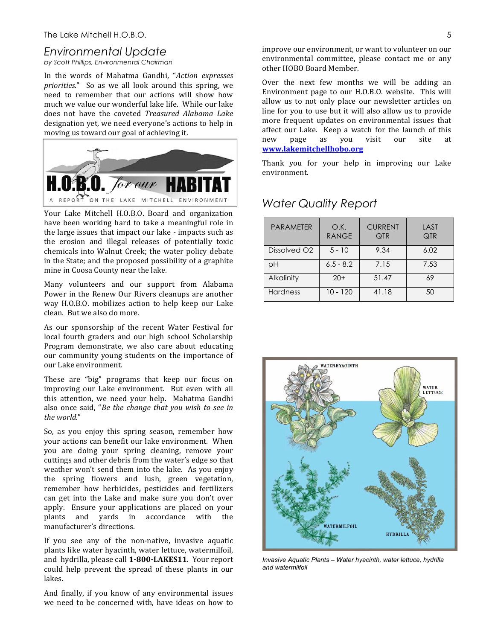## *Environmental Update*

*by Scott Phillips, Environmental Chairman*

In the words of Mahatma Gandhi, "Action expresses *priorities.*" So as we all look around this spring, we need to remember that our actions will show how much we value our wonderful lake life. While our lake does not have the coveted *Treasured Alabama Lake* designation yet, we need everyone's actions to help in moving us toward our goal of achieving it.



Your Lake Mitchell H.O.B.O. Board and organization have been working hard to take a meaningful role in the large issues that impact our lake - impacts such as the erosion and illegal releases of potentially toxic chemicals into Walnut Creek; the water policy debate in the State; and the proposed possibility of a graphite mine in Coosa County near the lake.

Many volunteers and our support from Alabama Power in the Renew Our Rivers cleanups are another way H.O.B.O. mobilizes action to help keep our Lake clean. But we also do more.

As our sponsorship of the recent Water Festival for local fourth graders and our high school Scholarship Program demonstrate, we also care about educating our community young students on the importance of our Lake environment.

These are "big" programs that keep our focus on improving our Lake environment. But even with all this attention, we need your help. Mahatma Gandhi also once said, "*Be the change that you wish to see in the world.*"

So, as you enjoy this spring season, remember how your actions can benefit our lake environment. When you are doing your spring cleaning, remove your cuttings and other debris from the water's edge so that weather won't send them into the lake. As you enjoy the spring flowers and lush, green vegetation, remember how herbicides, pesticides and fertilizers can get into the Lake and make sure you don't over apply. Ensure your applications are placed on your plants and yards in accordance with the manufacturer's directions.

If you see any of the non-native, invasive aquatic plants like water hyacinth, water lettuce, watermilfoil, and hydrilla, please call 1-800-LAKES11. Your report could help prevent the spread of these plants in our lakes. 

And finally, if you know of any environmental issues we need to be concerned with, have ideas on how to improve our environment, or want to volunteer on our environmental committee, please contact me or any other HOBO Board Member.

Over the next few months we will be adding an Environment page to our H.O.B.O. website. This will allow us to not only place our newsletter articles on line for you to use but it will also allow us to provide more frequent updates on environmental issues that affect our Lake. Keep a watch for the launch of this new page as you visit our site at **www.lakemitchellhobo.org**

Thank you for your help in improving our Lake environment. 

| <b>PARAMETER</b>         | O.K.<br><b>RANGE</b> | <b>CURRENT</b><br><b>QTR</b> | LAST<br>QTR |  |
|--------------------------|----------------------|------------------------------|-------------|--|
| Dissolved O <sub>2</sub> | $5 - 10$             | 9.34                         | 6.02        |  |
| рH                       | $6.5 - 8.2$          | 7.15                         | 7.53        |  |
| Alkalinity               | $20+$                | 51.47                        | 69          |  |
| <b>Hardness</b>          | $10 - 120$           | 41.18                        | 50          |  |

## *Water Quality Report*



*Invasive Aquatic Plants – Water hyacinth, water lettuce, hydrilla and watermilfoil*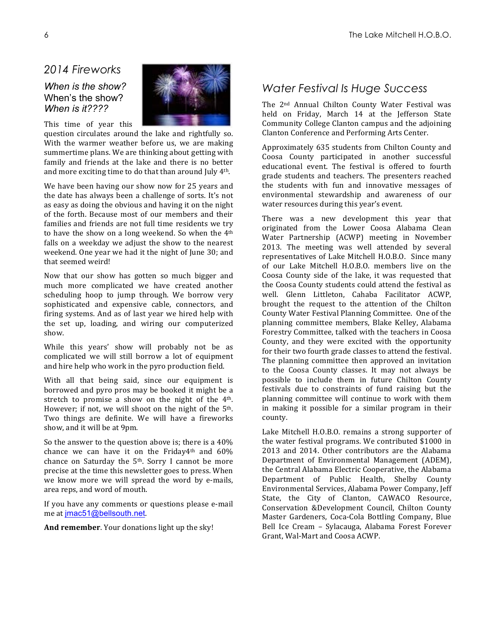## *2014 Fireworks*

## *When is the show?*  When's the show? *When is it????*



This time of year this question circulates around the lake and rightfully so. With the warmer weather before us, we are making summertime plans. We are thinking about getting with family and friends at the lake and there is no better and more exciting time to do that than around July  $4<sup>th</sup>$ .

We have been having our show now for 25 years and the date has always been a challenge of sorts. It's not as easy as doing the obvious and having it on the night of the forth. Because most of our members and their families and friends are not full time residents we try to have the show on a long weekend. So when the  $4<sup>th</sup>$ falls on a weekday we adjust the show to the nearest weekend. One year we had it the night of June 30; and that seemed weird!

Now that our show has gotten so much bigger and much more complicated we have created another scheduling hoop to jump through. We borrow very sophisticated and expensive cable, connectors, and firing systems. And as of last year we hired help with the set up, loading, and wiring our computerized show.

While this years' show will probably not be as complicated we will still borrow a lot of equipment and hire help who work in the pyro production field.

With all that being said, since our equipment is borrowed and pyro pros may be booked it might be a stretch to promise a show on the night of the  $4<sup>th</sup>$ . However; if not, we will shoot on the night of the 5<sup>th</sup>. Two things are definite. We will have a fireworks show, and it will be at 9pm.

So the answer to the question above is; there is a  $40\%$ chance we can have it on the Friday4th and  $60\%$ chance on Saturday the  $5<sup>th</sup>$ . Sorry I cannot be more precise at the time this newsletter goes to press. When we know more we will spread the word by e-mails, area reps, and word of mouth.

If you have any comments or questions please e-mail me at imac51@bellsouth.net.

And remember. Your donations light up the sky!

# *Water Festival Is Huge Success*

The 2<sup>nd</sup> Annual Chilton County Water Festival was held on Friday, March 14 at the Jefferson State Community College Clanton campus and the adjoining Clanton Conference and Performing Arts Center.

Approximately 635 students from Chilton County and Coosa County participated in another successful educational event. The festival is offered to fourth grade students and teachers. The presenters reached the students with fun and innovative messages of environmental stewardship and awareness of our water resources during this year's event.

There was a new development this year that originated from the Lower Coosa Alabama Clean Water Partnership (ACWP) meeting in November 2013. The meeting was well attended by several representatives of Lake Mitchell H.O.B.O. Since many of our Lake Mitchell H.O.B.O. members live on the Coosa County side of the lake, it was requested that the Coosa County students could attend the festival as well. Glenn Littleton, Cahaba Facilitator ACWP, brought the request to the attention of the Chilton County Water Festival Planning Committee. One of the planning committee members, Blake Kelley, Alabama Forestry Committee, talked with the teachers in Coosa County, and they were excited with the opportunity for their two fourth grade classes to attend the festival. The planning committee then approved an invitation to the Coosa County classes. It may not always be possible to include them in future Chilton County festivals due to constraints of fund raising but the planning committee will continue to work with them in making it possible for a similar program in their county. 

Lake Mitchell H.O.B.O. remains a strong supporter of the water festival programs. We contributed \$1000 in 2013 and 2014. Other contributors are the Alabama Department of Environmental Management (ADEM), the Central Alabama Electric Cooperative, the Alabama Department of Public Health, Shelby County Environmental Services, Alabama Power Company, Jeff State, the City of Clanton, CAWACO Resource, Conservation &Development Council, Chilton County Master Gardeners, Coca-Cola Bottling Company, Blue Bell Ice Cream - Sylacauga, Alabama Forest Forever Grant, Wal-Mart and Coosa ACWP.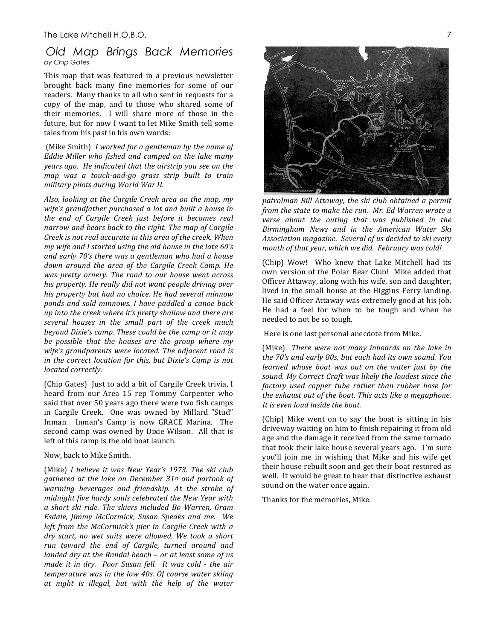## *Old Map Brings Back Memories by Chip Gates*

This map that was featured in a previous newsletter brought back many fine memories for some of our readers. Many thanks to all who sent in requests for a copy of the map, and to those who shared some of their memories. I will share more of those in the future, but for now I want to let Mike Smith tell some tales from his past in his own words:

(Mike Smith) I worked for a gentleman by the name of Eddie Miller who fished and camped on the lake many *years ago.* He indicated that the airstrip you see on the *map was a touch-and-go grass strip built to train* military pilots during World War II.

Also, looking at the Cargile Creek area on the map, my wife's grandfather purchased a lot and built a house in the end of Cargile Creek just before it becomes real *narrow and bears back to the right. The map of Cargile Creek is not real accurate in this area of the creek. When my* wife and I started using the old house in the late 60's *and early 70's there was a gentleman who had a house*  down around the area of the Cargile Creek Camp. He was pretty ornery. The road to our house went across his property. He really did not want people driving over his property but had no choice. He had several minnow ponds and sold minnows. I have paddled a canoe back *up* into the creek where it's pretty shallow and there are *several houses in the small part of the creek much beyond Dixie's camp. These could be the camp or it may* be possible that the houses are the group where my wife's grandparents were located. The adjacent road is *in* the correct location for this, but Dixie's Camp is not *located correctly.*

(Chip Gates) Just to add a bit of Cargile Creek trivia, I heard from our Area 15 rep Tommy Carpenter who said that over 50 years ago there were two fish camps in Cargile Creek. One was owned by Millard "Stud" Inman. Inman's Camp is now GRACE Marina. The second camp was owned by Dixie Wilson. All that is left of this camp is the old boat launch.

#### Now, back to Mike Smith.

(Mike) *I believe it was New Year's 1973. The ski club gathered at the lake on December 31st and partook of*  warming beverages and friendship. At the stroke of *midnight five hardy souls celebrated the New Year with a short ski ride. The skiers included Bo Warren, Gram Esdale, Jimmy McCormick, Susan Speaks and me. We left from the McCormick's pier in Cargile Creek with a dry start, no wet suits were allowed. We took a short*  run toward the end of Cargile, turned around and *landed dry at the Randal beach – or at least some of us made it in dry.* Poor Susan fell. It was cold - the air *temperature* was in the low 40s. Of course water skiing *at night is illegal, but with the help of the water* 



patrolman Bill Attaway, the ski club obtained a permit *from the state to make the run. Mr. Ed Warren wrote a verse about the outing that was published in the Birmingham News and in the American Water Ski Association magazine. Several of us decided to ski every month of that year, which we did. February was cold!* 

(Chip) Wow! Who knew that Lake Mitchell had its own version of the Polar Bear Club! Mike added that Officer Attaway, along with his wife, son and daughter, lived in the small house at the Higgins Ferry landing. He said Officer Attaway was extremely good at his job. He had a feel for when to be tough and when he needed to not be so tough*.*

Here is one last personal anecdote from Mike.

(Mike) *There were not many inboards on the lake in the 70's and early 80s, but each had its own sound. You learned* whose boat was out on the water just by the sound. My Correct Craft was likely the loudest since the *factory* used copper tube rather than rubber hose for *the exhaust out of the boat. This acts like a megaphone. It is even loud inside the boat.* 

(Chip) Mike went on to say the boat is sitting in his driveway waiting on him to finish repairing it from old age and the damage it received from the same tornado that took their lake house several years ago. I'm sure you'll join me in wishing that Mike and his wife get their house rebuilt soon and get their boat restored as well. It would be great to hear that distinctive exhaust sound on the water once again.

Thanks for the memories, Mike.